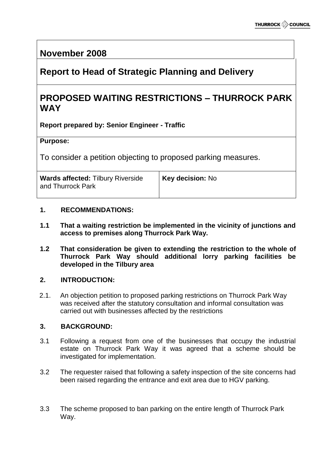## **November 2008**

# **Report to Head of Strategic Planning and Delivery**

# **PROPOSED WAITING RESTRICTIONS – THURROCK PARK WAY**

**Report prepared by: Senior Engineer - Traffic**

## **Purpose:**

To consider a petition objecting to proposed parking measures.

**Wards affected:** Tilbury Riverside and Thurrock Park

**Key decision:** No

## **1. RECOMMENDATIONS:**

- **1.1 That a waiting restriction be implemented in the vicinity of junctions and access to premises along Thurrock Park Way.**
- **1.2 That consideration be given to extending the restriction to the whole of Thurrock Park Way should additional lorry parking facilities be developed in the Tilbury area**

## **2. INTRODUCTION:**

2.1. An objection petition to proposed parking restrictions on Thurrock Park Way was received after the statutory consultation and informal consultation was carried out with businesses affected by the restrictions

## **3. BACKGROUND:**

- 3.1 Following a request from one of the businesses that occupy the industrial estate on Thurrock Park Way it was agreed that a scheme should be investigated for implementation.
- 3.2 The requester raised that following a safety inspection of the site concerns had been raised regarding the entrance and exit area due to HGV parking.
- 3.3 The scheme proposed to ban parking on the entire length of Thurrock Park Way.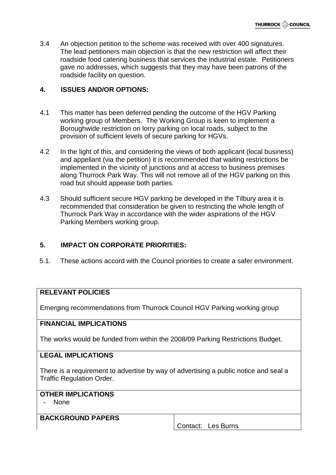3.4 An objection petition to the scheme was received with over 400 signatures. The lead petitioners main objection is that the new restriction will affect their roadside food catering business that services the industrial estate. Petitioners gave no addresses, which suggests that they may have been patrons of the roadside facility on question.

## **4. ISSUES AND/OR OPTIONS:**

- 4.1 This matter has been deferred pending the outcome of the HGV Parking working group of Members. The Working Group is keen to implement a Boroughwide restriction on lorry parking on local roads, subject to the provision of sufficient levels of secure parking for HGVs.
- 4.2 In the light of this, and considering the views of both applicant (local business) and appellant (via the petition) it is recommended that waiting restrictions be implemented in the vicinity of junctions and at access to business premises along Thurrock Park Way. This will not remove all of the HGV parking on this road but should appease both parties.
- 4.3 Should sufficient secure HGV parking be developed in the Tilbury area it is recommended that consideration be given to restricting the whole length of Thurrock Park Way in accordance with the wider aspirations of the HGV Parking Members working group.

## **5. IMPACT ON CORPORATE PRIORITIES:**

5.1. These actions accord with the Council priorities to create a safer environment.

## **RELEVANT POLICIES**

Emerging recommendations from Thurrock Council HGV Parking working group

## **FINANCIAL IMPLICATIONS**

The works would be funded from within the 2008/09 Parking Restrictions Budget.

## **LEGAL IMPLICATIONS**

There is a requirement to advertise by way of advertising a public notice and seal a Traffic Regulation Order.

## **OTHER IMPLICATIONS**

- None

**BACKGROUND PAPERS**

Contact: Les Burns